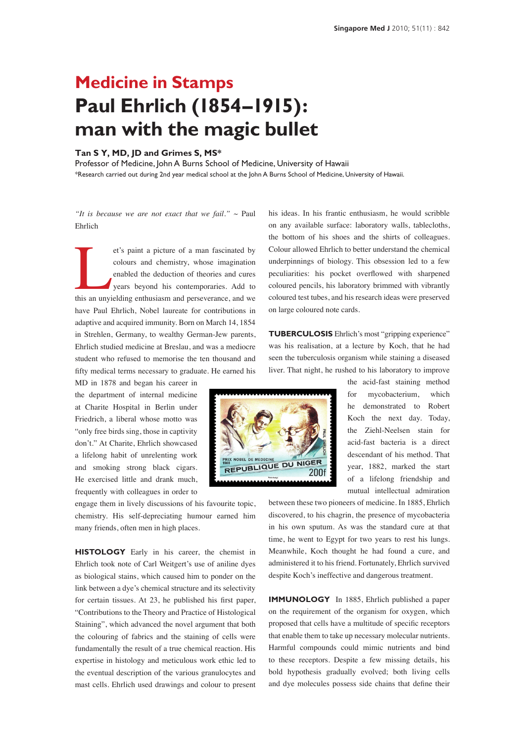## **Medicine in Stamps Paul Ehrlich (1854–1915): man with the magic bullet**

## **Tan S Y, MD, JD and Grimes S, MS\***

Professor of Medicine, John A Burns School of Medicine, University of Hawaii \*Research carried out during 2nd year medical school at the John A Burns School of Medicine, University of Hawaii.

*"It is because we are not exact that we fail."*  $\sim$  Paul Ehrlich

et's paint a picture of a man fascinated by colours and chemistry, whose imagination enabled the deduction of theories and cures years beyond his contemporaries. Add to this an unyielding enthusiasm and perseverance, and w colours and chemistry, whose imagination enabled the deduction of theories and cures years beyond his contemporaries. Add to have Paul Ehrlich, Nobel laureate for contributions in adaptive and acquired immunity. Born on March 14, 1854 in Strehlen, Germany, to wealthy German-Jew parents, Ehrlich studied medicine at Breslau, and was a mediocre student who refused to memorise the ten thousand and fifty medical terms necessary to graduate. He earned his

MD in 1878 and began his career in the department of internal medicine at Charite Hospital in Berlin under Friedrich, a liberal whose motto was "only free birds sing, those in captivity don't." At Charite, Ehrlich showcased a lifelong habit of unrelenting work and smoking strong black cigars. He exercised little and drank much, frequently with colleagues in order to

engage them in lively discussions of his favourite topic, chemistry. His self-depreciating humour earned him many friends, often men in high places.

**HISTOLOGY** Early in his career, the chemist in Ehrlich took note of Carl Weitgert's use of aniline dyes as biological stains, which caused him to ponder on the link between a dye's chemical structure and its selectivity for certain tissues. At 23, he published his first paper, "Contributions to the Theory and Practice of Histological Staining", which advanced the novel argument that both the colouring of fabrics and the staining of cells were fundamentally the result of a true chemical reaction. His expertise in histology and meticulous work ethic led to the eventual description of the various granulocytes and mast cells. Ehrlich used drawings and colour to present his ideas. In his frantic enthusiasm, he would scribble on any available surface: laboratory walls, tablecloths, the bottom of his shoes and the shirts of colleagues. Colour allowed Ehrlich to better understand the chemical underpinnings of biology. This obsession led to a few peculiarities: his pocket overflowed with sharpened coloured pencils, his laboratory brimmed with vibrantly coloured test tubes, and his research ideas were preserved on large coloured note cards.

**TUBERCULOSIS** Ehrlich's most "gripping experience" was his realisation, at a lecture by Koch, that he had seen the tuberculosis organism while staining a diseased liver. That night, he rushed to his laboratory to improve



the acid-fast staining method for mycobacterium, which he demonstrated to Robert Koch the next day. Today, the Ziehl-Neelsen stain for acid-fast bacteria is a direct descendant of his method. That year, 1882, marked the start of a lifelong friendship and mutual intellectual admiration

between these two pioneers of medicine. In 1885, Ehrlich discovered, to his chagrin, the presence of mycobacteria in his own sputum. As was the standard cure at that time, he went to Egypt for two years to rest his lungs. Meanwhile, Koch thought he had found a cure, and administered it to his friend. Fortunately, Ehrlich survived despite Koch's ineffective and dangerous treatment.

**IMMUNOLOGY** In 1885, Ehrlich published a paper on the requirement of the organism for oxygen, which proposed that cells have a multitude of specific receptors that enable them to take up necessary molecular nutrients. Harmful compounds could mimic nutrients and bind to these receptors. Despite a few missing details, his bold hypothesis gradually evolved; both living cells and dye molecules possess side chains that define their